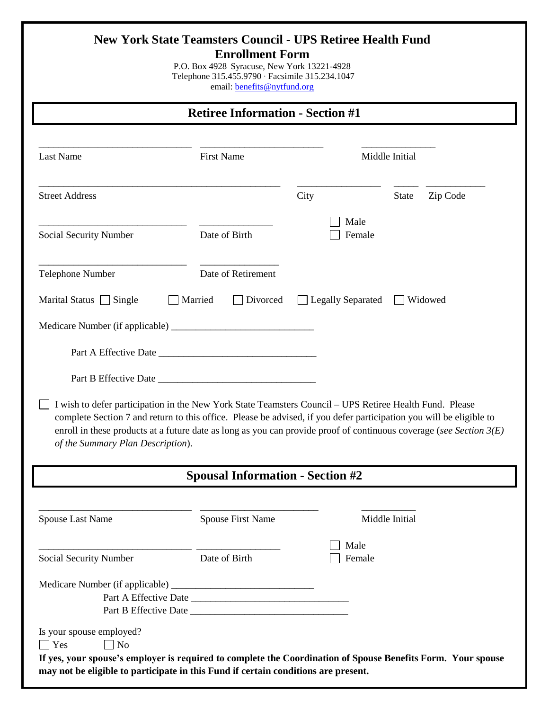| <b>Retiree Information - Section #1</b>                                                                                                      |                                         |                     |                                                                                                                                                                                                                                                |  |  |
|----------------------------------------------------------------------------------------------------------------------------------------------|-----------------------------------------|---------------------|------------------------------------------------------------------------------------------------------------------------------------------------------------------------------------------------------------------------------------------------|--|--|
| <b>Last Name</b>                                                                                                                             | <b>First Name</b>                       |                     | Middle Initial                                                                                                                                                                                                                                 |  |  |
| <b>Street Address</b>                                                                                                                        |                                         | City                | <b>State</b><br>Zip Code                                                                                                                                                                                                                       |  |  |
| Social Security Number                                                                                                                       | Date of Birth                           | Male                | Female                                                                                                                                                                                                                                         |  |  |
| Telephone Number                                                                                                                             | Date of Retirement                      |                     |                                                                                                                                                                                                                                                |  |  |
| Marital Status Single                                                                                                                        | Married<br>Divorced                     | □ Legally Separated | Widowed<br>$\mathbf{1}$                                                                                                                                                                                                                        |  |  |
|                                                                                                                                              |                                         |                     |                                                                                                                                                                                                                                                |  |  |
|                                                                                                                                              |                                         |                     |                                                                                                                                                                                                                                                |  |  |
|                                                                                                                                              |                                         |                     |                                                                                                                                                                                                                                                |  |  |
|                                                                                                                                              |                                         |                     |                                                                                                                                                                                                                                                |  |  |
| I wish to defer participation in the New York State Teamsters Council – UPS Retiree Health Fund. Please<br>of the Summary Plan Description). |                                         |                     | complete Section 7 and return to this office. Please be advised, if you defer participation you will be eligible to<br>enroll in these products at a future date as long as you can provide proof of continuous coverage (see Section $3(E)$ ) |  |  |
|                                                                                                                                              | <b>Spousal Information - Section #2</b> |                     |                                                                                                                                                                                                                                                |  |  |
| <b>Spouse Last Name</b>                                                                                                                      | <b>Spouse First Name</b>                |                     | Middle Initial                                                                                                                                                                                                                                 |  |  |
| Social Security Number                                                                                                                       | Date of Birth                           | Male                | Female                                                                                                                                                                                                                                         |  |  |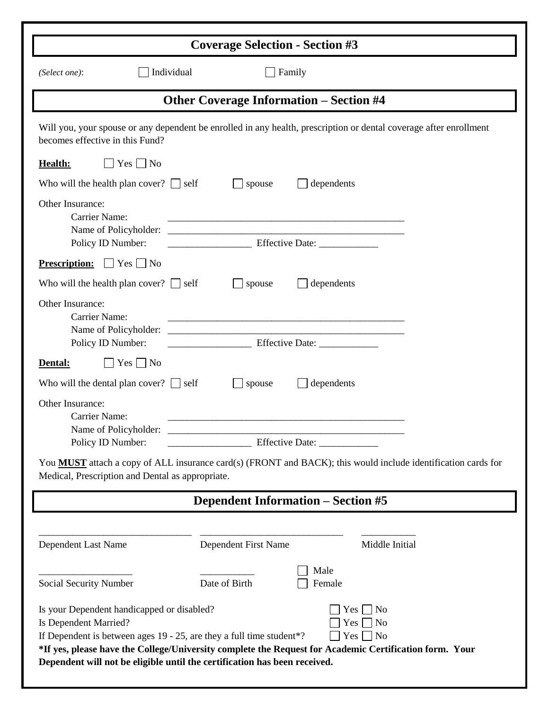| <b>Coverage Selection - Section #3</b>                                                                                                                                                                                                                                                                                                                                            |                                                                                                                                                                                                                                                                   |  |  |  |
|-----------------------------------------------------------------------------------------------------------------------------------------------------------------------------------------------------------------------------------------------------------------------------------------------------------------------------------------------------------------------------------|-------------------------------------------------------------------------------------------------------------------------------------------------------------------------------------------------------------------------------------------------------------------|--|--|--|
| Individual<br>(Select one):                                                                                                                                                                                                                                                                                                                                                       | Family                                                                                                                                                                                                                                                            |  |  |  |
| <b>Other Coverage Information – Section #4</b>                                                                                                                                                                                                                                                                                                                                    |                                                                                                                                                                                                                                                                   |  |  |  |
| Will you, your spouse or any dependent be enrolled in any health, prescription or dental coverage after enrollment<br>becomes effective in this Fund?                                                                                                                                                                                                                             |                                                                                                                                                                                                                                                                   |  |  |  |
| $Yes \Box No$<br>Health:                                                                                                                                                                                                                                                                                                                                                          |                                                                                                                                                                                                                                                                   |  |  |  |
| Who will the health plan cover? $\Box$ self                                                                                                                                                                                                                                                                                                                                       | spouse<br>dependents                                                                                                                                                                                                                                              |  |  |  |
| Other Insurance:<br>Carrier Name:<br>Policy ID Number:                                                                                                                                                                                                                                                                                                                            |                                                                                                                                                                                                                                                                   |  |  |  |
| <b>Prescription:</b> $\Box$ Yes $\Box$ No                                                                                                                                                                                                                                                                                                                                         |                                                                                                                                                                                                                                                                   |  |  |  |
| Who will the health plan cover? $\Box$ self                                                                                                                                                                                                                                                                                                                                       | dependents<br>spouse                                                                                                                                                                                                                                              |  |  |  |
| Other Insurance:<br><b>Carrier Name:</b><br>Name of Policyholder:<br>Policy ID Number:                                                                                                                                                                                                                                                                                            | <u> 1989 - Johann Harry Harry Harry Harry Harry Harry Harry Harry Harry Harry Harry Harry Harry Harry Harry Harry</u><br><u> 1989 - Johann Harry Harry Harry Harry Harry Harry Harry Harry Harry Harry Harry Harry Harry Harry Harry Harry</u><br>Effective Date: |  |  |  |
| $Yes \Box No$<br>Dental:                                                                                                                                                                                                                                                                                                                                                          |                                                                                                                                                                                                                                                                   |  |  |  |
| Who will the dental plan cover? $\Box$ self                                                                                                                                                                                                                                                                                                                                       | dependents<br>spouse                                                                                                                                                                                                                                              |  |  |  |
| Other Insurance:<br><b>Carrier Name:</b><br>Name of Policyholder:<br>Policy ID Number:                                                                                                                                                                                                                                                                                            | Effective Date: ______________                                                                                                                                                                                                                                    |  |  |  |
| You <b>MUST</b> attach a copy of ALL insurance card(s) (FRONT and BACK); this would include identification cards for<br>Medical, Prescription and Dental as appropriate.                                                                                                                                                                                                          |                                                                                                                                                                                                                                                                   |  |  |  |
| <b>Dependent Information – Section #5</b>                                                                                                                                                                                                                                                                                                                                         |                                                                                                                                                                                                                                                                   |  |  |  |
| Dependent Last Name                                                                                                                                                                                                                                                                                                                                                               | Dependent First Name<br>Middle Initial                                                                                                                                                                                                                            |  |  |  |
| Social Security Number                                                                                                                                                                                                                                                                                                                                                            | Male<br>Date of Birth<br>Female                                                                                                                                                                                                                                   |  |  |  |
| Is your Dependent handicapped or disabled?<br>No<br>Yes  <br>Is Dependent Married?<br>Yes  <br>No<br>If Dependent is between ages 19 - 25, are they a full time student*?<br>$Yes \Box No$<br>*If yes, please have the College/University complete the Request for Academic Certification form. Your<br>Dependent will not be eligible until the certification has been received. |                                                                                                                                                                                                                                                                   |  |  |  |